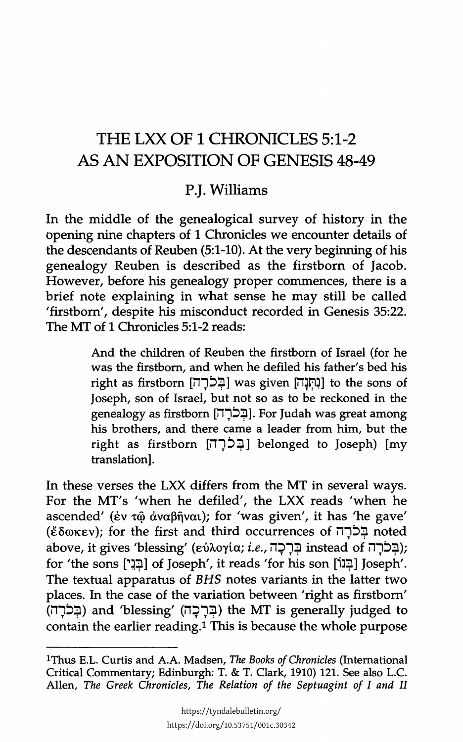## THE LXX OF 1 CHRONICLES 5:1-2 AS AN EXPOSITION OF GENESIS 48-49

## P.J. Williams

In the middle of the genealogical survey of history in the opening nine chapters of 1 Chronicles we encounter details of the descendants of Reuben (5:1-10). At the very beginning of his genealogy Reuben is described as the firstborn of Jacob. However, before his genealogy proper commences, there is a brief note explaining in what sense he may still be called 'firstborn', despite his misconduct recorded in Genesis 35:22. The MT of 1 Chronicles 5:1-2 reads:

> And the children of Reuben the firstborn of Israel (for he was the firstborn, and when he defiled his father's bed his right as firstborn [בְּכֹרָה] was given [נִחְנָה] to the sons of Joseph, son of Israel, but not so as to be reckoned in the genealogy as firstborn [בְּכֹרָה]. For Judah was great among his brothers, and there came a leader from him, but the right as firstborn [הְכֹרָה] belonged to Joseph) [my translation].

In these verses the LXX differs from the MT in several ways. For the MT's 'when he defiled', the LXX reads 'when he ascended' ( $\acute{e}v$   $\tau\hat{\omega}$   $\dot{\alpha}$ ναβῆναι); for 'was given', it has 'he gave' (ἔδωκεν); for the first and third occurrences of בַּכֹּרָה above, it gives 'blessing' (εὐλογία; *i.e.*, בְּרָבָה instead of יהודה); for 'the sons ['בְּנֵי] of Joseph', it reads 'for his son [בְּנוֹ] Joseph'. The textual apparatus of *BHS* notes variants in the latter two places. In the case of the variation between 'right as firstborn' (בְּלָה) and 'blessing' (בְּרָכָה) the MT is generally judged to contain the earlier reading.<sup>1</sup> This is because the whole purpose

lThus E.L. Curtis and A.A. Madsen, *The Books of Chronicles* (International Critical Commentary; Edinburgh: T. & T. Clark, 1910) 121. See also L.C. Alien, *The Greek Chronicles, The Relation of the Septuagint of I and II*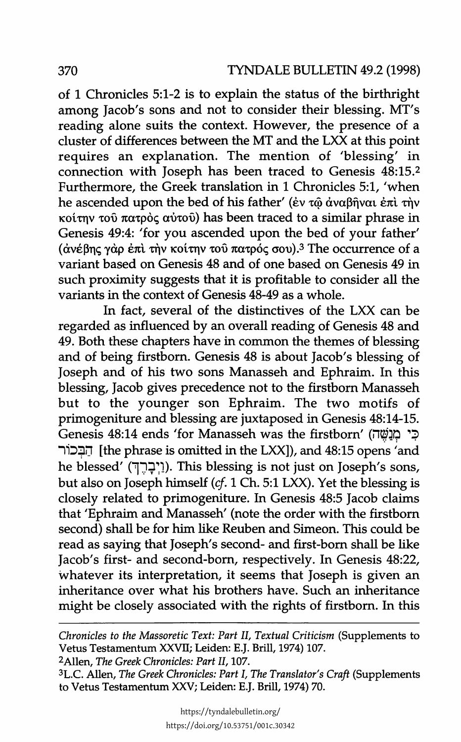of 1 Chronicles 5:1-2 is to explain the status of the birthright among Jacob's sons and not to consider their blessing. MT's reading alone suits the context. However, the presence of a cluster of differences between the MT and the LXX at this point requires an explanation. The mention of 'blessing' in connection with Joseph has been traced to Genesis 48:15.2 Furthermore, the Greek translation in 1 Chronicles 5:1, 'when he ascended upon the bed of his father' (έν τῷ ἀναβῆναι ἐπὶ τὴν  $κ$ οίτην τοῦ πατρὸς αὐτοῦ) has been traced to a similar phrase in Genesis 49:4: 'for you ascended upon the bed of your father' (ανέβης γαρ επι την κοίτην του πατρός σου).<sup>3</sup> The occurrence of a variant based on Genesis 48 and of one based on Genesis 49 in such proximity suggests that it is profitable to consider all the variants in the context of Genesis 48-49 as a whole.

In fact, several of the distinctives of the LXX can be regarded as influenced by an overall reading of Genesis 48 and 49. Both these chapters have in common the themes of blessing and of being firstborn. Genesis 48 is about Jacob's blessing of Joseph and of his two sons Manasseh and Ephraim. In this blessing, Jacob gives precedence not to the firstborn Manasseh but to the younger son Ephraim. The two motifs of primogeniture and blessing are juxtaposed in Genesis 48:14-15. Genesis 48:14 ends 'for Manasseh was the firstborn' (בִי מְנָשָׁה) 1i~~iJ [the phrase is omitted in the LXX]), and 48:15 opens 'and he blessed' ("יְבָרֵךְ). This blessing is not just on Joseph's sons, but also on Joseph himself *(cf.* 1 Ch. 5:1 LXX). Yet the blessing is closely related to primogeniture. In Genesis 48:5 Jacob claims that 'Ephraim and Manasseh' (note the order with the firstborn second) shall be for him like Reuben and Simeon. This could be read as saying that Joseph's second- and first-born shall be like Jacob's first- and second-born, respectively. In Genesis 48:22, whatever its interpretation, it seems that Joseph is given an inheritance over what his brothers have. Such an inheritance might be closely associated with the rights of firstborn. In this

*Chronicles to the Massoretic Text: Part II, Textual Criticism* (Supplements to Vetus Testamentum XXVTI; Leiden: E.J. Brill, 1974) 107.

2Allen, The *Greek Chronicles: Part II,* 107.

<sup>3</sup> L.C. Allen, *The Greek Chronicles: Part I, The Translator's Craft* (Supplements to Vetus Testamentum XXV; Leiden: E.J. Brill, 1974) 70.